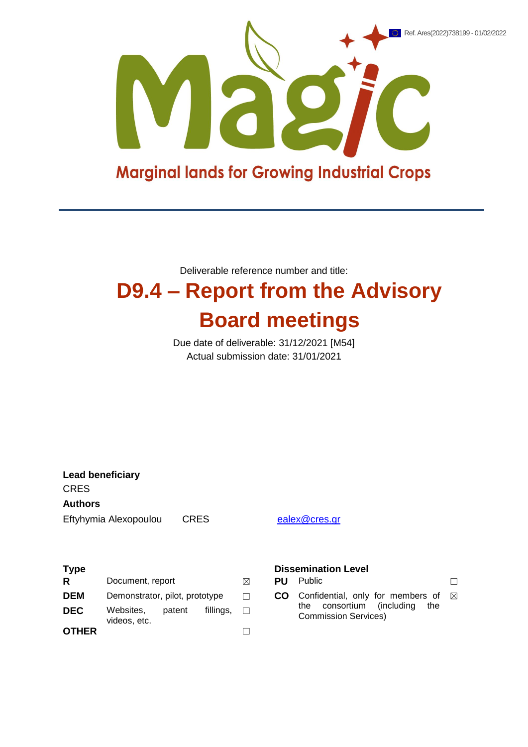

Deliverable reference number and title:

## **D9.4 – Report from the Advisory Board meetings**

Due date of deliverable: 31/12/2021 [M54] Actual submission date: 31/01/2021

**Lead beneficiary CRES Authors** Eftyhymia Alexopoulou CRES [ealex@cres.gr](mailto:ealex@cres.gr)

| <b>Type</b>  |                                |        |           |         |     | <b>Dissemination Level</b>                                         |  |
|--------------|--------------------------------|--------|-----------|---------|-----|--------------------------------------------------------------------|--|
| R            | Document, report               |        |           | ⊠       | PU  | <b>Public</b>                                                      |  |
| <b>DEM</b>   | Demonstrator, pilot, prototype |        |           | П       | CO. | Confidential, only for members of                                  |  |
| <b>DEC</b>   | Websites.<br>videos, etc.      | patent | fillings. | $\perp$ |     | consortium (including<br>the<br>the<br><b>Commission Services)</b> |  |
| <b>OTHER</b> |                                |        |           |         |     |                                                                    |  |

## **Dissemination Level**

|            | Document, report               | <b>PU</b> Public                                                                         |  |
|------------|--------------------------------|------------------------------------------------------------------------------------------|--|
| <b>DEM</b> | Demonstrator, pilot, prototype | <b>CO</b> Confidential, only for members of $\boxtimes$<br>the concertium (including the |  |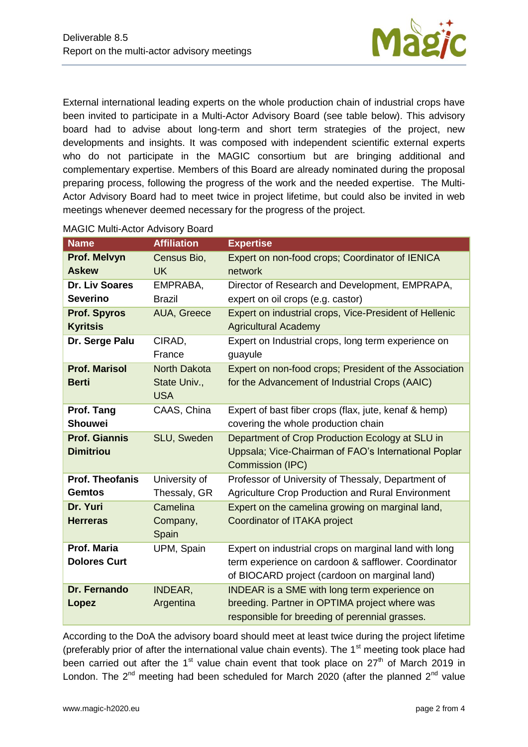

External international leading experts on the whole production chain of industrial crops have been invited to participate in a Multi-Actor Advisory Board (see table below). This advisory board had to advise about long-term and short term strategies of the project, new developments and insights. It was composed with independent scientific external experts who do not participate in the MAGIC consortium but are bringing additional and complementary expertise. Members of this Board are already nominated during the proposal preparing process, following the progress of the work and the needed expertise. The Multi-Actor Advisory Board had to meet twice in project lifetime, but could also be invited in web meetings whenever deemed necessary for the progress of the project.

| <b>Name</b>            | <b>Affiliation</b>  | <b>Expertise</b>                                       |
|------------------------|---------------------|--------------------------------------------------------|
| Prof. Melvyn           | Census Bio,         | Expert on non-food crops; Coordinator of IENICA        |
| <b>Askew</b>           | <b>UK</b>           | network                                                |
| <b>Dr. Liv Soares</b>  | EMPRABA,            | Director of Research and Development, EMPRAPA,         |
| <b>Severino</b>        | <b>Brazil</b>       | expert on oil crops (e.g. castor)                      |
| <b>Prof. Spyros</b>    | AUA, Greece         | Expert on industrial crops, Vice-President of Hellenic |
| <b>Kyritsis</b>        |                     | <b>Agricultural Academy</b>                            |
| Dr. Serge Palu         | CIRAD,              | Expert on Industrial crops, long term experience on    |
|                        | France              | guayule                                                |
| <b>Prof. Marisol</b>   | <b>North Dakota</b> | Expert on non-food crops; President of the Association |
| <b>Berti</b>           | State Univ.,        | for the Advancement of Industrial Crops (AAIC)         |
|                        | <b>USA</b>          |                                                        |
| Prof. Tang             | CAAS, China         | Expert of bast fiber crops (flax, jute, kenaf & hemp)  |
| <b>Shouwei</b>         |                     | covering the whole production chain                    |
| <b>Prof. Giannis</b>   | SLU, Sweden         | Department of Crop Production Ecology at SLU in        |
| <b>Dimitriou</b>       |                     | Uppsala; Vice-Chairman of FAO's International Poplar   |
|                        |                     | Commission (IPC)                                       |
| <b>Prof. Theofanis</b> | University of       | Professor of University of Thessaly, Department of     |
| <b>Gemtos</b>          | Thessaly, GR        | Agriculture Crop Production and Rural Environment      |
| Dr. Yuri               | Camelina            | Expert on the camelina growing on marginal land,       |
| <b>Herreras</b>        | Company,            | Coordinator of ITAKA project                           |
|                        | Spain               |                                                        |
| Prof. Maria            | UPM, Spain          | Expert on industrial crops on marginal land with long  |
| <b>Dolores Curt</b>    |                     | term experience on cardoon & safflower. Coordinator    |
|                        |                     | of BIOCARD project (cardoon on marginal land)          |
| Dr. Fernando           | INDEAR,             | <b>INDEAR</b> is a SME with long term experience on    |
| Lopez                  | Argentina           | breeding. Partner in OPTIMA project where was          |
|                        |                     | responsible for breeding of perennial grasses.         |

## MAGIC Multi-Actor Advisory Board

According to the DoA the advisory board should meet at least twice during the project lifetime (preferably prior of after the international value chain events). The  $1<sup>st</sup>$  meeting took place had been carried out after the 1<sup>st</sup> value chain event that took place on  $27<sup>th</sup>$  of March 2019 in London. The  $2^{nd}$  meeting had been scheduled for March 2020 (after the planned  $2^{nd}$  value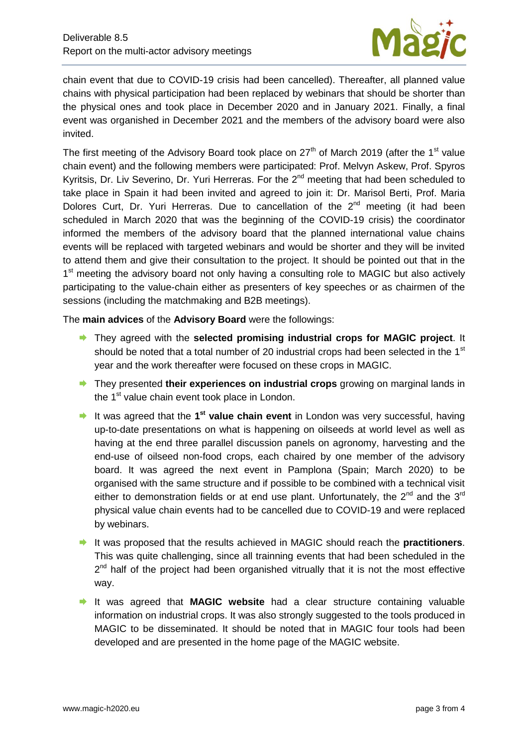

chain event that due to COVID-19 crisis had been cancelled). Thereafter, all planned value chains with physical participation had been replaced by webinars that should be shorter than the physical ones and took place in December 2020 and in January 2021. Finally, a final event was organished in December 2021 and the members of the advisory board were also invited.

The first meeting of the Advisory Board took place on 27<sup>th</sup> of March 2019 (after the 1<sup>st</sup> value chain event) and the following members were participated: Prof. Melvyn Askew, Prof. Spyros Kyritsis, Dr. Liv Severino, Dr. Yuri Herreras. For the  $2<sup>nd</sup>$  meeting that had been scheduled to take place in Spain it had been invited and agreed to join it: Dr. Marisol Berti, Prof. Maria Dolores Curt. Dr. Yuri Herreras. Due to cancellation of the  $2^{nd}$  meeting (it had been scheduled in March 2020 that was the beginning of the COVID-19 crisis) the coordinator informed the members of the advisory board that the planned international value chains events will be replaced with targeted webinars and would be shorter and they will be invited to attend them and give their consultation to the project. It should be pointed out that in the 1<sup>st</sup> meeting the advisory board not only having a consulting role to MAGIC but also actively participating to the value-chain either as presenters of key speeches or as chairmen of the sessions (including the matchmaking and B2B meetings).

The **main advices** of the **Advisory Board** were the followings:

- They agreed with the **selected promising industrial crops for MAGIC project**. It should be noted that a total number of 20 industrial crops had been selected in the 1<sup>st</sup> year and the work thereafter were focused on these crops in MAGIC.
- **■** They presented **their experiences on industrial crops** growing on marginal lands in the 1<sup>st</sup> value chain event took place in London.
- **→** It was agreed that the 1<sup>st</sup> value chain event in London was very successful, having up-to-date presentations on what is happening on oilseeds at world level as well as having at the end three parallel discussion panels on agronomy, harvesting and the end-use of oilseed non-food crops, each chaired by one member of the advisory board. It was agreed the next event in Pamplona (Spain; March 2020) to be organised with the same structure and if possible to be combined with a technical visit either to demonstration fields or at end use plant. Unfortunately, the  $2^{nd}$  and the  $3^{rd}$ physical value chain events had to be cancelled due to COVID-19 and were replaced by webinars.
- It was proposed that the results achieved in MAGIC should reach the **practitioners**. This was quite challenging, since all trainning events that had been scheduled in the 2<sup>nd</sup> half of the project had been organished vitrually that it is not the most effective way.
- It was agreed that **MAGIC website** had a clear structure containing valuable information on industrial crops. It was also strongly suggested to the tools produced in MAGIC to be disseminated. It should be noted that in MAGIC four tools had been developed and are presented in the home page of the MAGIC website.